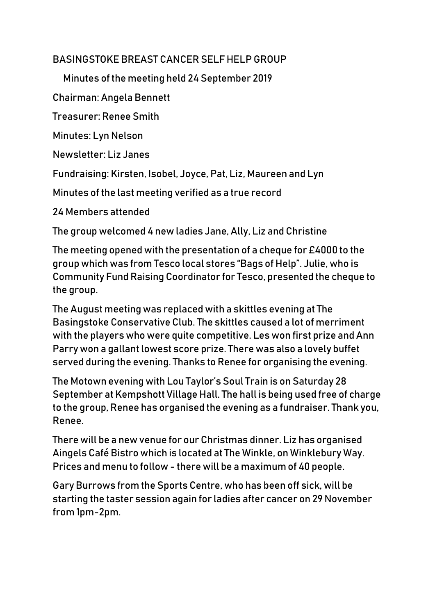## BASINGSTOKE BREAST CANCER SELF HELP GROUP

Minutes of the meeting held 24 September 2019

Chairman: Angela Bennett

Treasurer: Renee Smith

Minutes: Lyn Nelson

Newsletter: Liz Janes

Fundraising: Kirsten, Isobel, Joyce, Pat, Liz, Maureen and Lyn

Minutes of the last meeting verified as a true record

24 Members attended

The group welcomed 4 new ladies Jane, Ally, Liz and Christine

The meeting opened with the presentation of a cheque for £4000 to the group which was from Tesco local stores "Bags of Help". Julie, who is Community Fund Raising Coordinator for Tesco, presented the cheque to the group.

The August meeting was replaced with a skittles evening at The Basingstoke Conservative Club. The skittles caused a lot of merriment with the players who were quite competitive. Les won first prize and Ann Parry won a gallant lowest score prize. There was also a lovely buffet served during the evening. Thanks to Renee for organising the evening.

The Motown evening with Lou Taylor's Soul Train is on Saturday 28 September at Kempshott Village Hall. The hall is being used free of charge to the group, Renee has organised the evening as a fundraiser. Thank you, Renee.

There will be a new venue for our Christmas dinner. Liz has organised Aingels Café Bistro which is located at The Winkle, on Winklebury Way. Prices and menu to follow - there will be a maximum of 40 people.

Gary Burrows from the Sports Centre, who has been off sick, will be starting the taster session again for ladies after cancer on 29 November from 1pm-2pm.